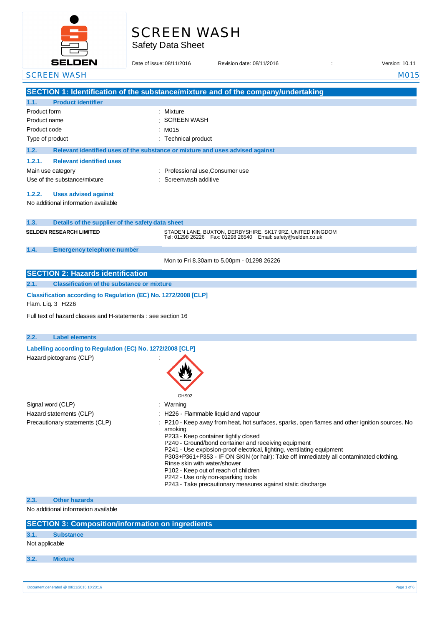

# SCREEN WASH

Safety Data Sheet

| <b>SELDEN</b>                                                                        | Date of issue: 08/11/2016                                                     | Revision date: 08/11/2016                                                                                                                                                                                                                                                                                                                                                                                                                                                                                     | Version: 10.11 |
|--------------------------------------------------------------------------------------|-------------------------------------------------------------------------------|---------------------------------------------------------------------------------------------------------------------------------------------------------------------------------------------------------------------------------------------------------------------------------------------------------------------------------------------------------------------------------------------------------------------------------------------------------------------------------------------------------------|----------------|
| <b>SCREEN WASH</b>                                                                   |                                                                               |                                                                                                                                                                                                                                                                                                                                                                                                                                                                                                               | M015           |
|                                                                                      |                                                                               | SECTION 1: Identification of the substance/mixture and of the company/undertaking                                                                                                                                                                                                                                                                                                                                                                                                                             |                |
| <b>Product identifier</b><br>1.1.                                                    |                                                                               |                                                                                                                                                                                                                                                                                                                                                                                                                                                                                                               |                |
| Product form                                                                         | : Mixture                                                                     |                                                                                                                                                                                                                                                                                                                                                                                                                                                                                                               |                |
| Product name                                                                         | <b>SCREEN WASH</b>                                                            |                                                                                                                                                                                                                                                                                                                                                                                                                                                                                                               |                |
| Product code                                                                         | : M015                                                                        |                                                                                                                                                                                                                                                                                                                                                                                                                                                                                                               |                |
| Type of product                                                                      | : Technical product                                                           |                                                                                                                                                                                                                                                                                                                                                                                                                                                                                                               |                |
| 1.2.                                                                                 | Relevant identified uses of the substance or mixture and uses advised against |                                                                                                                                                                                                                                                                                                                                                                                                                                                                                                               |                |
| 1.2.1.<br><b>Relevant identified uses</b>                                            |                                                                               |                                                                                                                                                                                                                                                                                                                                                                                                                                                                                                               |                |
| Main use category                                                                    | Professional use, Consumer use                                                |                                                                                                                                                                                                                                                                                                                                                                                                                                                                                                               |                |
| Use of the substance/mixture                                                         | Screenwash additive                                                           |                                                                                                                                                                                                                                                                                                                                                                                                                                                                                                               |                |
| 1.2.2.<br><b>Uses advised against</b><br>No additional information available         |                                                                               |                                                                                                                                                                                                                                                                                                                                                                                                                                                                                                               |                |
| 1.3.<br>Details of the supplier of the safety data sheet                             |                                                                               |                                                                                                                                                                                                                                                                                                                                                                                                                                                                                                               |                |
| <b>SELDEN RESEARCH LIMITED</b>                                                       |                                                                               | STADEN LANE, BUXTON, DERBYSHIRE, SK17 9RZ, UNITED KINGDOM<br>Tel: 01298 26226    Fax: 01298 26540    Email: safety@selden.co.uk                                                                                                                                                                                                                                                                                                                                                                               |                |
| 1.4.<br><b>Emergency telephone number</b>                                            |                                                                               |                                                                                                                                                                                                                                                                                                                                                                                                                                                                                                               |                |
|                                                                                      |                                                                               | Mon to Fri 8.30am to 5.00pm - 01298 26226                                                                                                                                                                                                                                                                                                                                                                                                                                                                     |                |
| <b>SECTION 2: Hazards identification</b>                                             |                                                                               |                                                                                                                                                                                                                                                                                                                                                                                                                                                                                                               |                |
| <b>Classification of the substance or mixture</b><br>2.1.                            |                                                                               |                                                                                                                                                                                                                                                                                                                                                                                                                                                                                                               |                |
| Classification according to Regulation (EC) No. 1272/2008 [CLP]<br>Flam. Liq. 3 H226 |                                                                               |                                                                                                                                                                                                                                                                                                                                                                                                                                                                                                               |                |
| Full text of hazard classes and H-statements : see section 16                        |                                                                               |                                                                                                                                                                                                                                                                                                                                                                                                                                                                                                               |                |
| 2.2.<br><b>Label elements</b>                                                        |                                                                               |                                                                                                                                                                                                                                                                                                                                                                                                                                                                                                               |                |
| Labelling according to Regulation (EC) No. 1272/2008 [CLP]                           |                                                                               |                                                                                                                                                                                                                                                                                                                                                                                                                                                                                                               |                |
| Hazard pictograms (CLP)                                                              | GHS02                                                                         |                                                                                                                                                                                                                                                                                                                                                                                                                                                                                                               |                |
| Signal word (CLP)                                                                    | Warning                                                                       |                                                                                                                                                                                                                                                                                                                                                                                                                                                                                                               |                |
| Hazard statements (CLP)                                                              |                                                                               | H226 - Flammable liquid and vapour                                                                                                                                                                                                                                                                                                                                                                                                                                                                            |                |
| Precautionary statements (CLP)                                                       | smoking<br>Rinse skin with water/shower                                       | P210 - Keep away from heat, hot surfaces, sparks, open flames and other ignition sources. No<br>P233 - Keep container tightly closed<br>P240 - Ground/bond container and receiving equipment<br>P241 - Use explosion-proof electrical, lighting, ventilating equipment<br>P303+P361+P353 - IF ON SKIN (or hair): Take off immediately all contaminated clothing.<br>P102 - Keep out of reach of children<br>P242 - Use only non-sparking tools<br>P243 - Take precautionary measures against static discharge |                |
| <b>Other hazards</b><br>2.3.                                                         |                                                                               |                                                                                                                                                                                                                                                                                                                                                                                                                                                                                                               |                |
| No additional information available                                                  |                                                                               |                                                                                                                                                                                                                                                                                                                                                                                                                                                                                                               |                |
| <b>SECTION 3: Composition/information on ingredients</b>                             |                                                                               |                                                                                                                                                                                                                                                                                                                                                                                                                                                                                                               |                |
| 3.1.<br><b>Substance</b>                                                             |                                                                               |                                                                                                                                                                                                                                                                                                                                                                                                                                                                                                               |                |
| Not applicable                                                                       |                                                                               |                                                                                                                                                                                                                                                                                                                                                                                                                                                                                                               |                |
| 3.2.<br><b>Mixture</b>                                                               |                                                                               |                                                                                                                                                                                                                                                                                                                                                                                                                                                                                                               |                |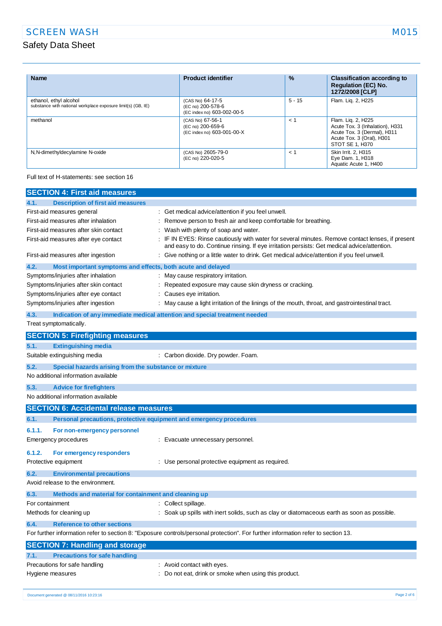| <b>Name</b>                                                                            | <b>Product identifier</b>                                           | $\%$     | <b>Classification according to</b><br><b>Regulation (EC) No.</b><br>1272/2008 [CLP]                                                  |
|----------------------------------------------------------------------------------------|---------------------------------------------------------------------|----------|--------------------------------------------------------------------------------------------------------------------------------------|
| ethanol, ethyl alcohol<br>substance with national workplace exposure limit(s) (GB, IE) | (CAS No) 64-17-5<br>(EC no) 200-578-6<br>(EC index no) 603-002-00-5 | $5 - 15$ | Flam. Lig. 2, H225                                                                                                                   |
| methanol                                                                               | (CAS No) 67-56-1<br>(EC no) 200-659-6<br>(EC index no) 603-001-00-X | $<$ 1    | Flam. Lig. 2, H225<br>Acute Tox. 3 (Inhalation), H331<br>Acute Tox. 3 (Dermal), H311<br>Acute Tox. 3 (Oral), H301<br>STOT SE 1. H370 |
| N, N-dimethyldecylamine N-oxide                                                        | (CAS No) 2605-79-0<br>(EC no) 220-020-5                             | $\lt$ 1  | Skin Irrit. 2. H315<br>Eye Dam. 1, H318<br>Aquatic Acute 1, H400                                                                     |

Full text of H-statements: see section 16

| <b>SECTION 4: First aid measures</b>                                               |                                                                                                                                                                                               |
|------------------------------------------------------------------------------------|-----------------------------------------------------------------------------------------------------------------------------------------------------------------------------------------------|
| 4.1.<br><b>Description of first aid measures</b>                                   |                                                                                                                                                                                               |
| First-aid measures general                                                         | : Get medical advice/attention if you feel unwell.                                                                                                                                            |
| First-aid measures after inhalation                                                | Remove person to fresh air and keep comfortable for breathing.                                                                                                                                |
| First-aid measures after skin contact                                              | Wash with plenty of soap and water.                                                                                                                                                           |
| First-aid measures after eye contact                                               | IF IN EYES: Rinse cautiously with water for several minutes. Remove contact lenses, if present<br>and easy to do. Continue rinsing. If eye irritation persists: Get medical advice/attention. |
| First-aid measures after ingestion                                                 | Give nothing or a little water to drink. Get medical advice/attention if you feel unwell.                                                                                                     |
| 4.2.<br>Most important symptoms and effects, both acute and delayed                |                                                                                                                                                                                               |
| Symptoms/injuries after inhalation                                                 | May cause respiratory irritation.                                                                                                                                                             |
| Symptoms/injuries after skin contact                                               | Repeated exposure may cause skin dryness or cracking.                                                                                                                                         |
| Symptoms/injuries after eye contact                                                | Causes eye irritation.                                                                                                                                                                        |
| Symptoms/injuries after ingestion                                                  | May cause a light irritation of the linings of the mouth, throat, and gastrointestinal tract.                                                                                                 |
| 4.3.<br>Indication of any immediate medical attention and special treatment needed |                                                                                                                                                                                               |
| Treat symptomatically.                                                             |                                                                                                                                                                                               |
| <b>SECTION 5: Firefighting measures</b>                                            |                                                                                                                                                                                               |
| 5.1.<br><b>Extinguishing media</b>                                                 |                                                                                                                                                                                               |
| Suitable extinguishing media                                                       | : Carbon dioxide. Dry powder. Foam.                                                                                                                                                           |
| 5.2.<br>Special hazards arising from the substance or mixture                      |                                                                                                                                                                                               |
| No additional information available                                                |                                                                                                                                                                                               |
| 5.3.<br><b>Advice for firefighters</b>                                             |                                                                                                                                                                                               |
| No additional information available                                                |                                                                                                                                                                                               |
| <b>SECTION 6: Accidental release measures</b>                                      |                                                                                                                                                                                               |
| Personal precautions, protective equipment and emergency procedures<br>6.1.        |                                                                                                                                                                                               |
| 6.1.1.<br>For non-emergency personnel                                              |                                                                                                                                                                                               |
| Emergency procedures                                                               | : Evacuate unnecessary personnel.                                                                                                                                                             |
| 6.1.2.<br>For emergency responders                                                 |                                                                                                                                                                                               |
| Protective equipment                                                               | : Use personal protective equipment as required.                                                                                                                                              |
| 6.2.<br><b>Environmental precautions</b>                                           |                                                                                                                                                                                               |
| Avoid release to the environment.                                                  |                                                                                                                                                                                               |
| Methods and material for containment and cleaning up<br>6.3.                       |                                                                                                                                                                                               |
| For containment                                                                    | : Collect spillage.                                                                                                                                                                           |
| Methods for cleaning up                                                            | Soak up spills with inert solids, such as clay or diatomaceous earth as soon as possible.                                                                                                     |
| <b>Reference to other sections</b><br>6.4.                                         |                                                                                                                                                                                               |
|                                                                                    | For further information refer to section 8: "Exposure controls/personal protection". For further information refer to section 13.                                                             |
| <b>SECTION 7: Handling and storage</b>                                             |                                                                                                                                                                                               |
| 7.1.<br><b>Precautions for safe handling</b>                                       |                                                                                                                                                                                               |
| Precautions for safe handling                                                      | : Avoid contact with eyes.                                                                                                                                                                    |
| Hygiene measures                                                                   | Do not eat, drink or smoke when using this product.                                                                                                                                           |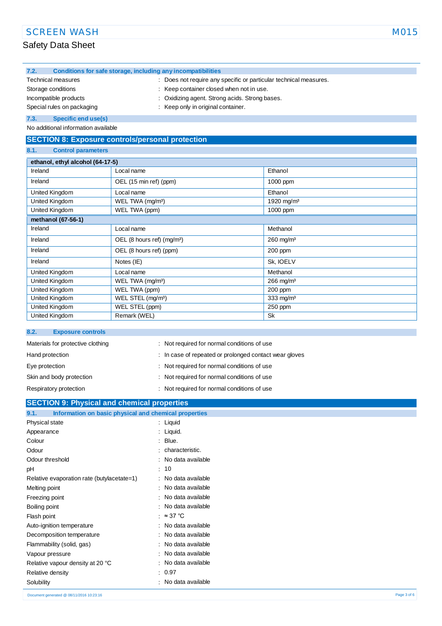| 7.2.                                                                                         | Conditions for safe storage, including any incompatibilities |         |  |
|----------------------------------------------------------------------------------------------|--------------------------------------------------------------|---------|--|
| Does not require any specific or particular technical measures.<br><b>Technical measures</b> |                                                              |         |  |
| Keep container closed when not in use.<br>Storage conditions                                 |                                                              |         |  |
| Oxidizing agent. Strong acids. Strong bases.<br>Incompatible products                        |                                                              |         |  |
| : Keep only in original container.<br>Special rules on packaging                             |                                                              |         |  |
| Specific end use(s)<br>7.3.                                                                  |                                                              |         |  |
| No additional information available                                                          |                                                              |         |  |
| <b>SECTION 8: Exposure controls/personal protection</b>                                      |                                                              |         |  |
| 8.1.<br><b>Control parameters</b>                                                            |                                                              |         |  |
| ethanol, ethyl alcohol (64-17-5)                                                             |                                                              |         |  |
| Ireland                                                                                      | Local name                                                   | Ethanol |  |

| Ireland            | Local name                             | Ethanol                 |
|--------------------|----------------------------------------|-------------------------|
| Ireland            | OEL (15 min ref) (ppm)                 | 1000 ppm                |
| United Kingdom     | Local name                             | Ethanol                 |
| United Kingdom     | WEL TWA (mg/m <sup>3</sup> )           | 1920 mg/m <sup>3</sup>  |
| United Kingdom     | WEL TWA (ppm)                          | 1000 ppm                |
| methanol (67-56-1) |                                        |                         |
| Ireland            | Local name                             | Methanol                |
| Ireland            | OEL (8 hours ref) (mg/m <sup>3</sup> ) | $260$ mg/m <sup>3</sup> |
| Ireland            | OEL (8 hours ref) (ppm)                | 200 ppm                 |
| Ireland            | Notes (IE)                             | Sk, IOELV               |
| United Kingdom     | Local name                             | Methanol                |
| United Kingdom     | WEL TWA (mg/m <sup>3</sup> )           | $266$ mg/m <sup>3</sup> |
| United Kingdom     | WEL TWA (ppm)                          | 200 ppm                 |
| United Kingdom     | WEL STEL (mg/m <sup>3</sup> )          | $333 \text{ mg/m}^3$    |
| United Kingdom     | WEL STEL (ppm)                         | $250$ ppm               |
| United Kingdom     | Remark (WEL)                           | <b>Sk</b>               |

## **8.2. Exposure controls**

| Materials for protective clothing | : Not required for normal conditions of use            |
|-----------------------------------|--------------------------------------------------------|
| Hand protection                   | : In case of repeated or prolonged contact wear gloves |
| Eye protection                    | : Not required for normal conditions of use            |
| Skin and body protection          | : Not required for normal conditions of use            |
| Respiratory protection            | : Not required for normal conditions of use            |

# **SECTION 9: Physical and chemical properties**

| Information on basic physical and chemical properties<br>9.1. |                                |             |
|---------------------------------------------------------------|--------------------------------|-------------|
| Physical state                                                | : Liquid                       |             |
| Appearance                                                    | : Liquid.                      |             |
| Colour                                                        | $:$ Blue.                      |             |
| Odour                                                         | characteristic.                |             |
| Odour threshold                                               | : No data available            |             |
| pH                                                            | : 10                           |             |
| Relative evaporation rate (butylacetate=1)                    | : No data available            |             |
| Melting point                                                 | : No data available            |             |
| Freezing point                                                | No data available<br>$\bullet$ |             |
| Boiling point                                                 | : No data available            |             |
| Flash point                                                   | : $\approx 37$ °C              |             |
| Auto-ignition temperature                                     | : No data available            |             |
| Decomposition temperature                                     | : No data available            |             |
| Flammability (solid, gas)                                     | No data available              |             |
| Vapour pressure                                               | : No data available            |             |
| Relative vapour density at 20 °C                              | : No data available            |             |
| Relative density                                              | : 0.97                         |             |
| Solubility                                                    | No data available              |             |
| Document generated @ 08/11/2016 10:23:16                      |                                | Page 3 of 6 |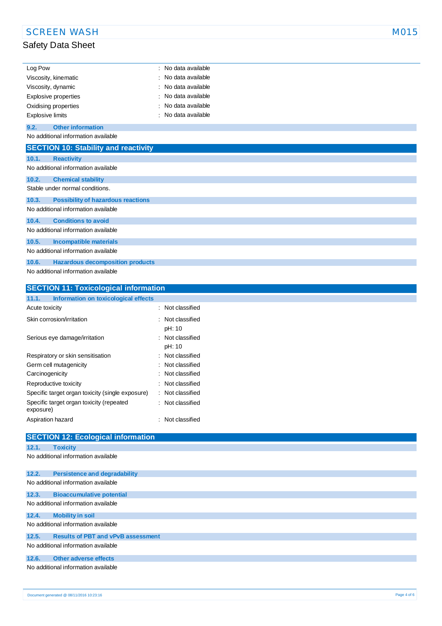| Log Pow                     | : No data available            |
|-----------------------------|--------------------------------|
| Viscosity, kinematic        | $\therefore$ No data available |
| Viscosity, dynamic          | : No data available            |
| <b>Explosive properties</b> | : No data available            |
| Oxidising properties        | : No data available            |
| <b>Explosive limits</b>     | : No data available            |

## **9.2. Other information**

No additional information available

| <b>SECTION 10: Stability and reactivity</b>        |
|----------------------------------------------------|
| 10.1.<br><b>Reactivity</b>                         |
| No additional information available                |
| 10.2.<br><b>Chemical stability</b>                 |
| Stable under normal conditions.                    |
| <b>Possibility of hazardous reactions</b><br>10.3. |
| No additional information available                |
| <b>Conditions to avoid</b><br>10.4.                |
| No additional information available                |
| <b>Incompatible materials</b><br>10.5.             |
| No additional information available                |
| <b>Hazardous decomposition products</b><br>10.6.   |
| No additional information available                |

| <b>SECTION 11: Toxicological information</b>                                                                   |                       |
|----------------------------------------------------------------------------------------------------------------|-----------------------|
| Information on toxicological effects<br>11.1.                                                                  |                       |
| Acute toxicity                                                                                                 | : Not classified      |
| Skin corrosion/irritation                                                                                      | : Not classified      |
|                                                                                                                | pH: 10                |
| Serious eye damage/irritation                                                                                  | : Not classified      |
|                                                                                                                | pH: 10                |
| Respiratory or skin sensitisation                                                                              | : Not classified      |
| Channel and the second and the contract of the contract of the contract of the contract of the contract of the | المحاكا محموله فحالات |

| Germ cell mutagenicity                                | : Not classified     |
|-------------------------------------------------------|----------------------|
| Carcinogenicity                                       | : Not classified     |
| Reproductive toxicity                                 | : Not classified     |
| Specific target organ toxicity (single exposure)      | Not classified<br>t. |
| Specific target organ toxicity (repeated<br>exposure) | : Not classified     |
| Aspiration hazard                                     | : Not classified     |

| <b>SECTION 12: Ecological information</b>          |
|----------------------------------------------------|
| 12.1.<br><b>Toxicity</b>                           |
| No additional information available                |
|                                                    |
| 12.2.<br><b>Persistence and degradability</b>      |
| No additional information available                |
| <b>Bioaccumulative potential</b><br>12.3.          |
| No additional information available                |
| 12.4.<br><b>Mobility in soil</b>                   |
| No additional information available                |
| <b>Results of PBT and vPvB assessment</b><br>12.5. |
| No additional information available                |
| Other adverse effects<br>12.6.                     |
| No additional information available                |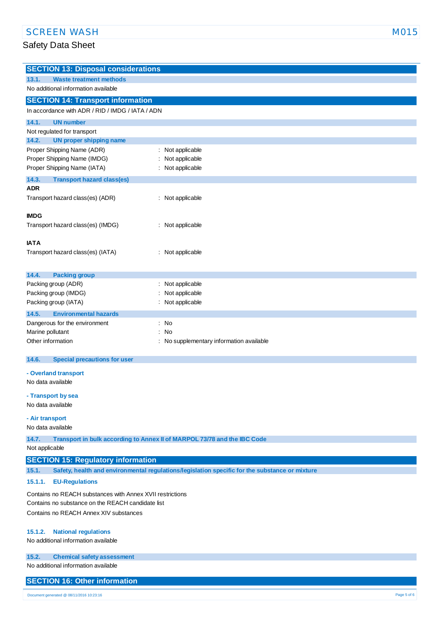| <b>SECTION 13: Disposal considerations</b>       |                                        |  |
|--------------------------------------------------|----------------------------------------|--|
| 13.1.<br><b>Waste treatment methods</b>          |                                        |  |
| No additional information available              |                                        |  |
| <b>SECTION 14: Transport information</b>         |                                        |  |
| In accordance with ADR / RID / IMDG / IATA / ADN |                                        |  |
| <b>UN number</b><br>14.1.                        |                                        |  |
| Not regulated for transport                      |                                        |  |
| <b>UN proper shipping name</b><br>14.2.          |                                        |  |
| Proper Shipping Name (ADR)                       | Not applicable<br>Ì.                   |  |
| Proper Shipping Name (IMDG)                      | Not applicable                         |  |
| Proper Shipping Name (IATA)                      | Not applicable<br>÷                    |  |
| 14.3.<br><b>Transport hazard class(es)</b>       |                                        |  |
| <b>ADR</b>                                       |                                        |  |
| Transport hazard class(es) (ADR)                 | Not applicable                         |  |
| <b>IMDG</b>                                      |                                        |  |
|                                                  |                                        |  |
| Transport hazard class(es) (IMDG)                | Not applicable                         |  |
| <b>IATA</b>                                      |                                        |  |
| Transport hazard class(es) (IATA)                | : Not applicable                       |  |
|                                                  |                                        |  |
| 14.4.<br><b>Packing group</b>                    |                                        |  |
| Packing group (ADR)                              | : Not applicable                       |  |
| Packing group (IMDG)                             | Not applicable                         |  |
| Packing group (IATA)                             | Not applicable                         |  |
| 14.5.<br><b>Environmental hazards</b>            |                                        |  |
| Dangerous for the environment                    | <b>No</b><br>÷.                        |  |
| Marine pollutant                                 | No                                     |  |
| Other information                                | No supplementary information available |  |
| <b>Special precautions for user</b><br>14.6.     |                                        |  |
|                                                  |                                        |  |
| - Overland transport                             |                                        |  |
| No data available                                |                                        |  |
| - Transport by sea                               |                                        |  |
|                                                  |                                        |  |

No data available

**- Air transport**

#### No data available

**14.7. Transport in bulk according to Annex II of MARPOL 73/78 and the IBC Code**

Not applicable

## **SECTION 15: Regulatory information**

**15.1. Safety, health and environmental regulations/legislation specific for the substance or mixture**

## **15.1.1. EU-Regulations**

Contains no REACH substances with Annex XVII restrictions Contains no substance on the REACH candidate list Contains no REACH Annex XIV substances

#### **15.1.2. National regulations**

No additional information available

#### **15.2. Chemical safety assessment**

No additional information available

## **SECTION 16: Other information**

Document generated @ 08/11/2016 10:23:16 Page 5 of 6